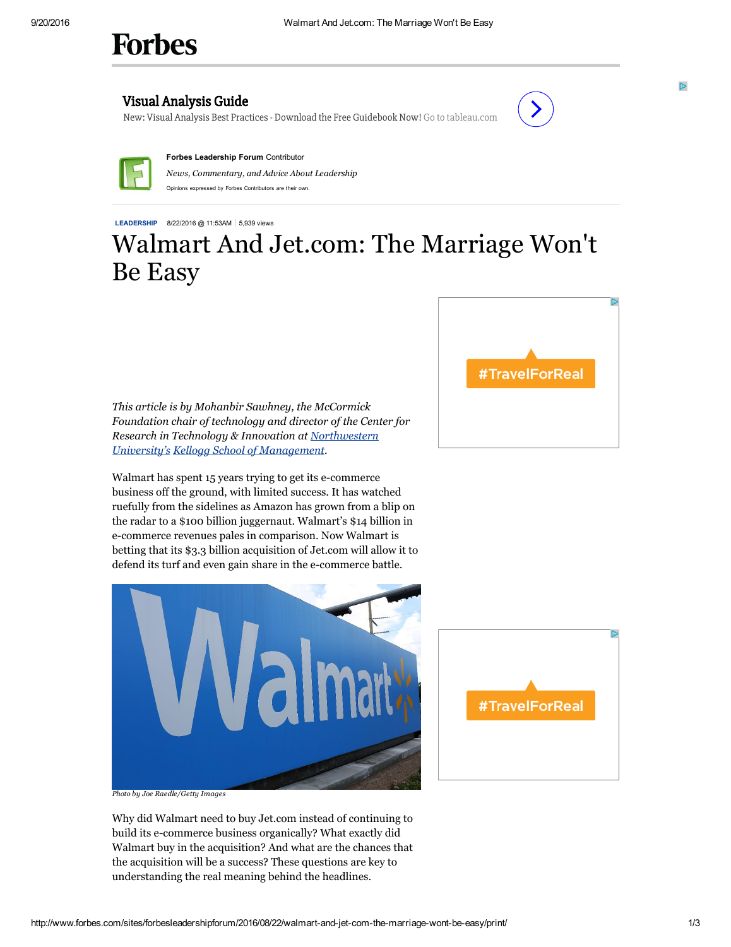# **Forbes**

### [Visual Analysis Guide](https://www.googleadservices.com/pagead/aclk?sa=L&ai=CQLf_AJDhV_nYB4evhASdzZ7QBpfSz-NG38KdwoUDx6Se9MwBEAEg_tT1F2DJtoSI8KPsEqAB7_WO2wPIAQHgAgCoAwHIA5sEqgTxAU_Q3kWPF3qjosIqUHO4k3qfY2fYBhCOAKvrQE2JpZHSq_nF7R47eJ6xcaMETYczU-8k_VGciZ3JVtLuuKqiLIOjrVRHyclNXc3PzVrrxYfbZJ6BzayoKZnoJxb9QxlAlz4Swk7QFFgls6aCsNko7vydArUrJ2mrdmDr2bvvh7wOaPyGywWM4U0OSbXwUbTLySo0ZcT5xgWe7Fm2XodhEkm5VTnfP7rVmZsdym3hSMZdpP_0so0phZq_Z7cHBu9AtLXU0yFWSeMS2eDWt7UqDSbVU0_9rsZneT4BjINjRBGKLeLFwWmbB_qxCGiIpVPonVXgBAGIBgGAB6PDzgGoB4HGG6gHpr4b2AcB0ggFCIBhEAHYEwg&num=1&cid=CAASEuRoumYKmWZRfN0AXxv-9rtOvQ&sig=AOD64_2A44drK_0BWnFrxUkmWLlLwOb0Vg&client=ca-pub-4111763448220873&adurl=http://www.tableau.com/asset/10-tips-to-create-useful-beautiful-visualizations%3Futm_campaign%3DProspecting-VISANLYT-ALL-ALL%26utm_medium%3DDisplay%26utm_source%3DGoogle%2BDisplay%26utm_language%3DEN%26utm_country%3DUSCA%26kw%3D%26adgroup%3DSIM-Data%2BVisualization%26adused%3D104327315175%26matchtype%3D%26placement%3Dwww.forbes.com%26creative%3Dcore-2)

New: Visual Analysis Best Practices - Download the Free [Guidebook](https://www.googleadservices.com/pagead/aclk?sa=L&ai=CQLf_AJDhV_nYB4evhASdzZ7QBpfSz-NG38KdwoUDx6Se9MwBEAEg_tT1F2DJtoSI8KPsEqAB7_WO2wPIAQHgAgCoAwHIA5sEqgTxAU_Q3kWPF3qjosIqUHO4k3qfY2fYBhCOAKvrQE2JpZHSq_nF7R47eJ6xcaMETYczU-8k_VGciZ3JVtLuuKqiLIOjrVRHyclNXc3PzVrrxYfbZJ6BzayoKZnoJxb9QxlAlz4Swk7QFFgls6aCsNko7vydArUrJ2mrdmDr2bvvh7wOaPyGywWM4U0OSbXwUbTLySo0ZcT5xgWe7Fm2XodhEkm5VTnfP7rVmZsdym3hSMZdpP_0so0phZq_Z7cHBu9AtLXU0yFWSeMS2eDWt7UqDSbVU0_9rsZneT4BjINjRBGKLeLFwWmbB_qxCGiIpVPonVXgBAGIBgGAB6PDzgGoB4HGG6gHpr4b2AcB0ggFCIBhEAHYEwg&num=1&cid=CAASEuRoumYKmWZRfN0AXxv-9rtOvQ&sig=AOD64_2A44drK_0BWnFrxUkmWLlLwOb0Vg&client=ca-pub-4111763448220873&adurl=http://www.tableau.com/asset/10-tips-to-create-useful-beautiful-visualizations%3Futm_campaign%3DProspecting-VISANLYT-ALL-ALL%26utm_medium%3DDisplay%26utm_source%3DGoogle%2BDisplay%26utm_language%3DEN%26utm_country%3DUSCA%26kw%3D%26adgroup%3DSIM-Data%2BVisualization%26adused%3D104327315175%26matchtype%3D%26placement%3Dwww.forbes.com%26creative%3Dcore-2) Now! Go to [tableau.com](https://www.googleadservices.com/pagead/aclk?sa=L&ai=CQLf_AJDhV_nYB4evhASdzZ7QBpfSz-NG38KdwoUDx6Se9MwBEAEg_tT1F2DJtoSI8KPsEqAB7_WO2wPIAQHgAgCoAwHIA5sEqgTxAU_Q3kWPF3qjosIqUHO4k3qfY2fYBhCOAKvrQE2JpZHSq_nF7R47eJ6xcaMETYczU-8k_VGciZ3JVtLuuKqiLIOjrVRHyclNXc3PzVrrxYfbZJ6BzayoKZnoJxb9QxlAlz4Swk7QFFgls6aCsNko7vydArUrJ2mrdmDr2bvvh7wOaPyGywWM4U0OSbXwUbTLySo0ZcT5xgWe7Fm2XodhEkm5VTnfP7rVmZsdym3hSMZdpP_0so0phZq_Z7cHBu9AtLXU0yFWSeMS2eDWt7UqDSbVU0_9rsZneT4BjINjRBGKLeLFwWmbB_qxCGiIpVPonVXgBAGIBgGAB6PDzgGoB4HGG6gHpr4b2AcB0ggFCIBhEAHYEwg&num=1&cid=CAASEuRoumYKmWZRfN0AXxv-9rtOvQ&sig=AOD64_2A44drK_0BWnFrxUkmWLlLwOb0Vg&client=ca-pub-4111763448220873&adurl=http://www.tableau.com/asset/10-tips-to-create-useful-beautiful-visualizations%3Futm_campaign%3DProspecting-VISANLYT-ALL-ALL%26utm_medium%3DDisplay%26utm_source%3DGoogle%2BDisplay%26utm_language%3DEN%26utm_country%3DUSCA%26kw%3D%26adgroup%3DSIM-Data%2BVisualization%26adused%3D104327315175%26matchtype%3D%26placement%3Dwww.forbes.com%26creative%3Dcore-2)



Forbes [Leadership](http://www.forbes.com/sites/forbesleadershipforum/) Forum Contributor News, Commentary, and Advice About Leadership ns expressed by Forbes Contributors are their own.

[LEADERSHIP](http://www.forbes.com/leadership) 8/22/2016 @ 11:53AM 5,939 views

## Walmart And Jet.com: The Marriage Won't Be Easy



Walmart has spent 15 years trying to get its e-commerce business off the ground, with limited success. It has watched ruefully from the sidelines as Amazon has grown from a blip on the radar to a \$100 billion juggernaut. Walmart's \$14 billion in ecommerce revenues pales in comparison. Now Walmart is betting that its \$3.3 billion acquisition of Jet.com will allow it to defend its turf and even gain share in the e-commerce battle.



Photo by Joe Raedle/Getty Images





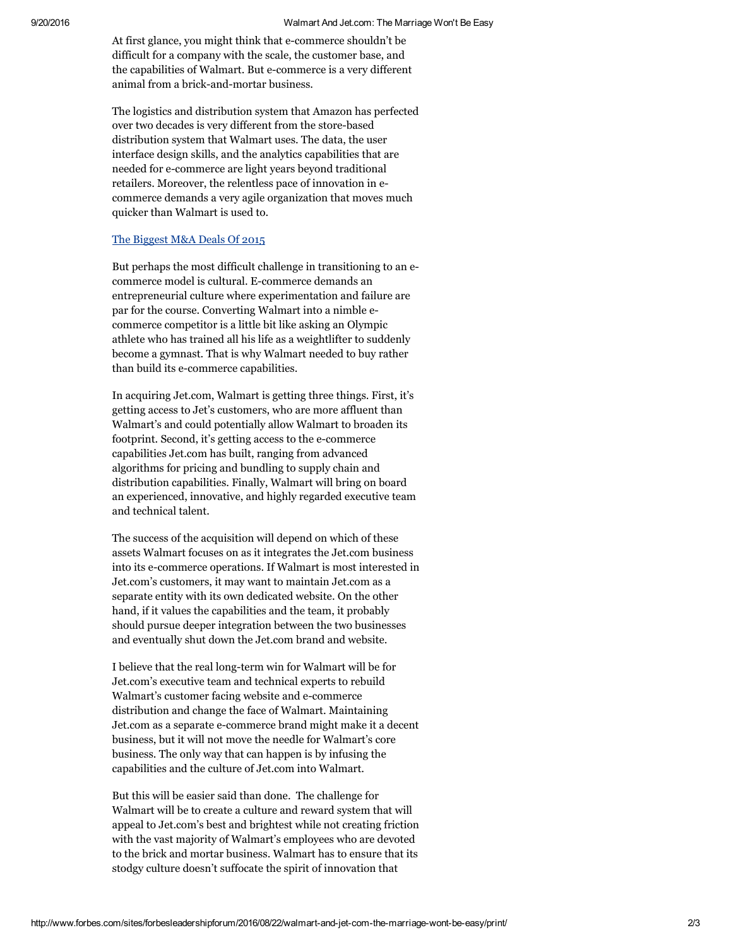At first glance, you might think that e-commerce shouldn't be difficult for a company with the scale, the customer base, and the capabilities of Walmart. But e-commerce is a very different animal from a brick-and-mortar business.

The logistics and distribution system that Amazon has perfected over two decades is very different from the store-based distribution system that Walmart uses. The data, the user interface design skills, and the analytics capabilities that are needed for ecommerce are light years beyond traditional retailers. Moreover, the relentless pace of innovation in ecommerce demands a very agile organization that moves much quicker than Walmart is used to.

### The [Biggest](http://www.forbes.com/pictures/eikh45imeg/pfizer-allergan/) M&A Deals Of 2015

But perhaps the most difficult challenge in transitioning to an ecommerce model is cultural. E-commerce demands an entrepreneurial culture where experimentation and failure are par for the course. Converting Walmart into a nimble ecommerce competitor is a little bit like asking an Olympic athlete who has trained all his life as a weightlifter to suddenly become a gymnast. That is why Walmart needed to buy rather than build its e-commerce capabilities.

In acquiring Jet.com, Walmart is getting three things. First, it's getting access to Jet's customers, who are more affluent than Walmart's and could potentially allow Walmart to broaden its footprint. Second, it's getting access to the ecommerce capabilities Jet.com has built, ranging from advanced algorithms for pricing and bundling to supply chain and distribution capabilities. Finally, Walmart will bring on board an experienced, innovative, and highly regarded executive team and technical talent.

The success of the acquisition will depend on which of these assets Walmart focuses on as it integrates the Jet.com business into its e-commerce operations. If Walmart is most interested in Jet.com's customers, it may want to maintain Jet.com as a separate entity with its own dedicated website. On the other hand, if it values the capabilities and the team, it probably should pursue deeper integration between the two businesses and eventually shut down the Jet.com brand and website.

I believe that the real long-term win for Walmart will be for Jet.com's executive team and technical experts to rebuild Walmart's customer facing website and e-commerce distribution and change the face of Walmart. Maintaining Jet.com as a separate e-commerce brand might make it a decent business, but it will not move the needle for Walmart's core business. The only way that can happen is by infusing the capabilities and the culture of Jet.com into Walmart.

But this will be easier said than done. The challenge for Walmart will be to create a culture and reward system that will appeal to Jet.com's best and brightest while not creating friction with the vast majority of Walmart's employees who are devoted to the brick and mortar business. Walmart has to ensure that its stodgy culture doesn't suffocate the spirit of innovation that